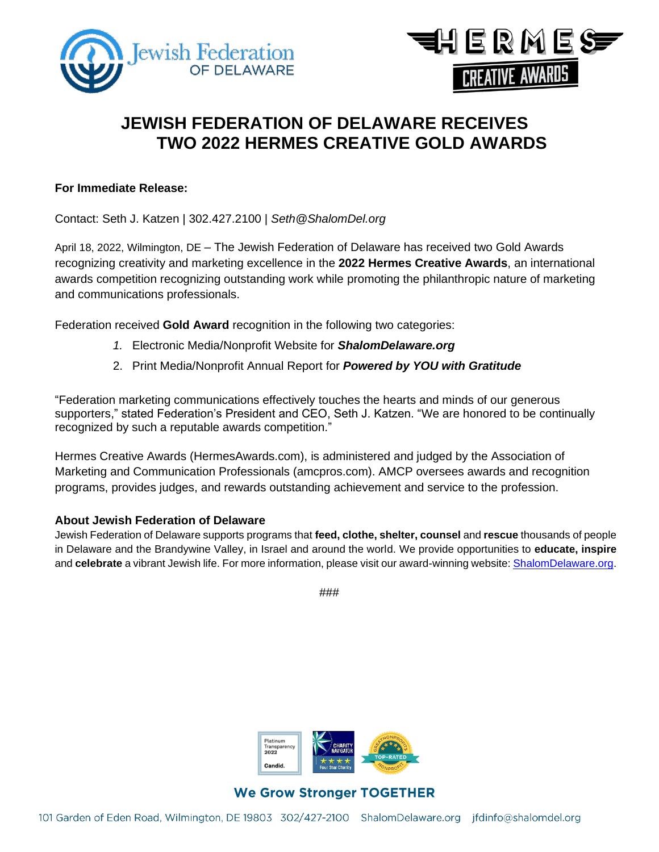



# **JEWISH FEDERATION OF DELAWARE RECEIVES TWO 2022 HERMES CREATIVE GOLD AWARDS**

#### **For Immediate Release:**

Contact: Seth J. Katzen | 302.427.2100 | *[Seth@ShalomDel.org](mailto:Seth@ShalomDel.org)*

April 18, 2022, Wilmington, DE – The Jewish Federation of Delaware has received two Gold Awards recognizing creativity and marketing excellence in the **2022 Hermes Creative Awards**, an international awards competition recognizing outstanding work while promoting the philanthropic nature of marketing and communications professionals.

Federation received **Gold Award** recognition in the following two categories:

- *1.* Electronic Media/Nonprofit Website for *ShalomDelaware.org*
- 2. Print Media/Nonprofit Annual Report for *Powered by YOU with Gratitude*

"Federation marketing communications effectively touches the hearts and minds of our generous supporters," stated Federation's President and CEO, Seth J. Katzen. "We are honored to be continually recognized by such a reputable awards competition."

Hermes Creative Awards (HermesAwards.com), is administered and judged by the Association of Marketing and Communication Professionals (amcpros.com). AMCP oversees awards and recognition programs, provides judges, and rewards outstanding achievement and service to the profession.

## **About Jewish Federation of Delaware**

Jewish Federation of Delaware supports programs that **feed, clothe, shelter, counsel** and **rescue** thousands of people in Delaware and the Brandywine Valley, in Israel and around the world. We provide opportunities to **educate, inspire** and **celebrate** a vibrant Jewish life. For more information, please visit our award-winning website: [ShalomDelaware.org.](http://www.shalomdelaware.org/)

###



# **We Grow Stronger TOGETHER**

101 Garden of Eden Road, Wilmington, DE 19803 302/427-2100 ShalomDelaware.org jfdinfo@shalomdel.org